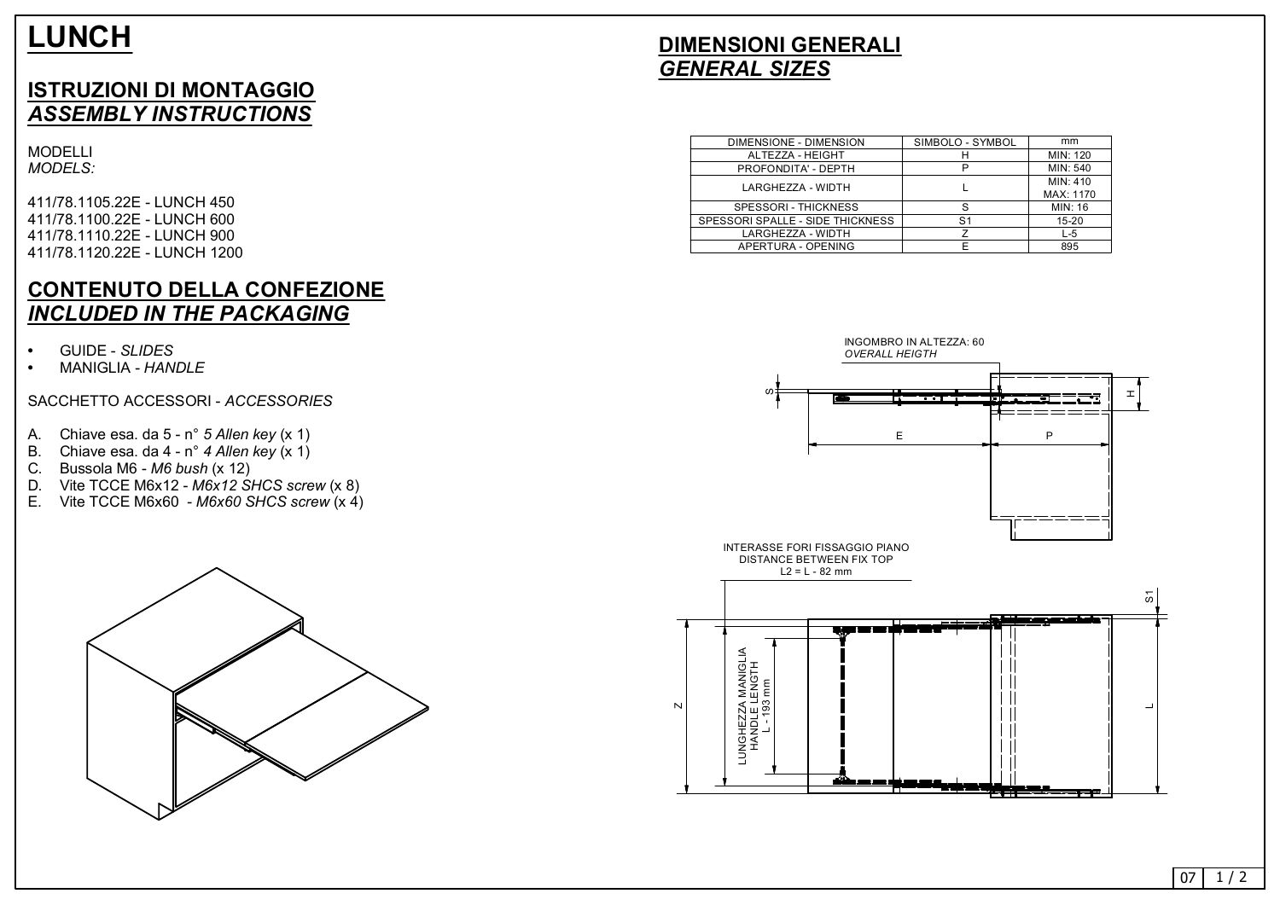# **LUNCH**

### **ISTRUZIONI DI MONTAGGIO** *ASSEMBLY INSTRUCTIONS*

MODELLI *MODELS:*

411/78.1105.22E - LUNCH 450 411/78.1100.22E - LUNCH 600 411/78.1110.22E - LUNCH 900 411/78.1120.22E - LUNCH 1200

#### **CONTENUTO DELLA CONFEZIONE** *INCLUDED IN THE PACKAGING*

- GUIDE *SLIDES*
- MANIGLIA *HANDLE*

#### SACCHETTO ACCESSORI - *ACCESSORIES*



- A. Chiave esa. da 5 n *5 Allen key* (x 1)
- B. Chiave esa. da 4 n *4 Allen key* (x 1)
- C. Bussola M6 *M6 bush* (x 12)
- D. Vite TCCE M6x12 *M6x12 SHCS screw* (x 8)
- E. Vite TCCE M6x60 *M6x60 SHCS screw* (x 4)



## **DIMENSIONI GENERALI** *GENERAL SIZES*





| DIMENSIONE - DIMENSION           | SIMBOLO - SYMBOL | mm        |
|----------------------------------|------------------|-----------|
| ALTEZZA - HEIGHT                 | н                | MIN: 120  |
| PROFONDITA' - DEPTH              | Р                | MIN: 540  |
| LARGHEZZA - WIDTH                |                  | MIN: 410  |
|                                  |                  | MAX: 1170 |
| <b>SPESSORI - THICKNESS</b>      | S                | MIN: 16   |
| SPESSORI SPALLE - SIDE THICKNESS | S <sub>1</sub>   | $15 - 20$ |
| LARGHEZZA - WIDTH                | 7                | L-5       |
| APERTURA - OPENING               | F                | 895       |
|                                  |                  |           |